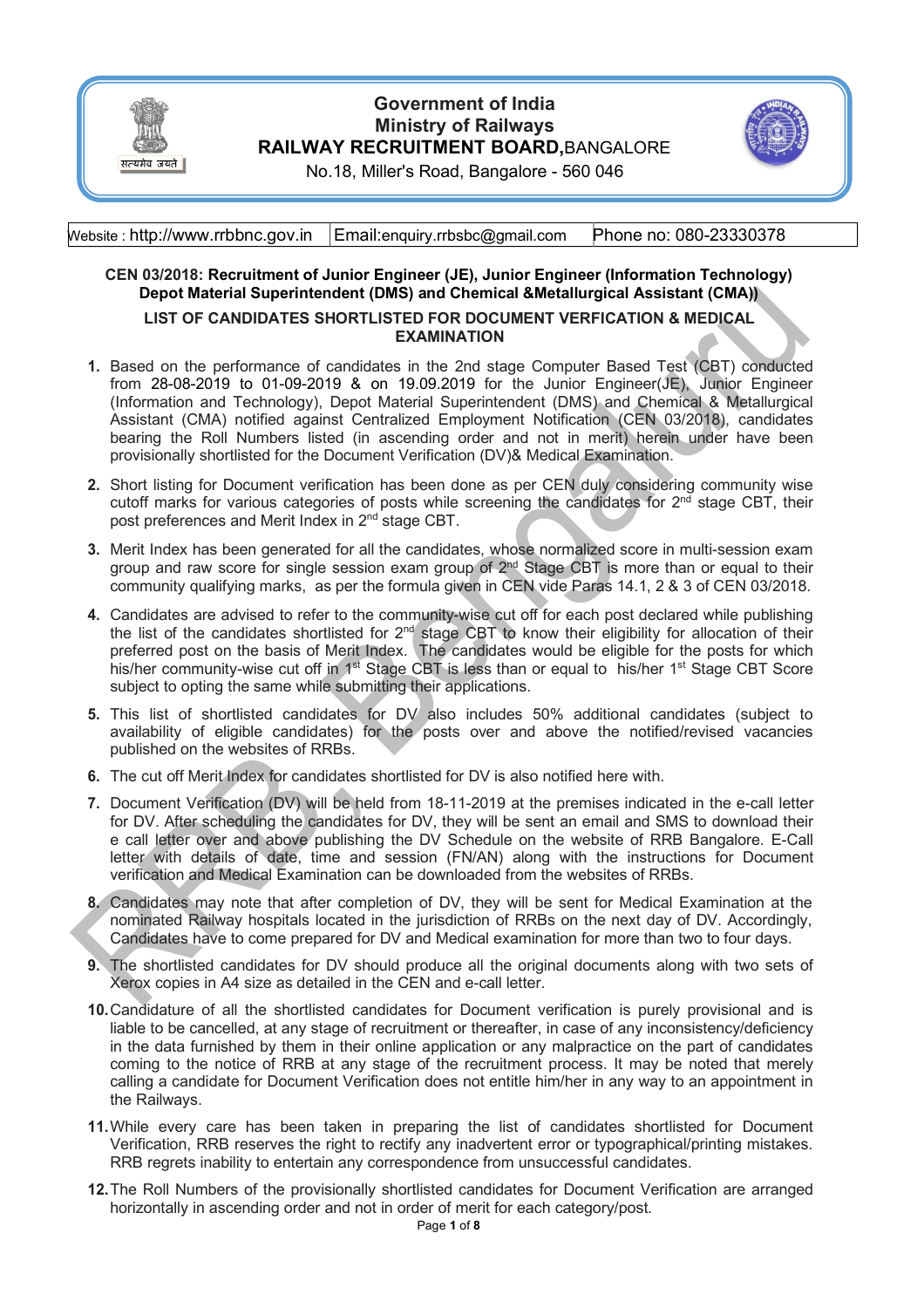

## **Government of India Ministry of Railways RAILWAY RECRUITMENT BOARD,**BANGALORE



No.18, Miller's Road, Bangalore - 560 046

Website : http://www.rrbbnc.gov.in Email:enquiry.rrbsbc@gmail.com Phone no: 080-23330378

# **CEN 03/2018: Recruitment of Junior Engineer (JE), Junior Engineer (Information Technology) Depot Material Superintendent (DMS) and Chemical &Metallurgical Assistant (CMA))**

### **LIST OF CANDIDATES SHORTLISTED FOR DOCUMENT VERFICATION & MEDICAL EXAMINATION**

- **1.** Based on the performance of candidates in the 2nd stage Computer Based Test (CBT) conducted from 28-08-2019 to 01-09-2019 & on 19.09.2019 for the Junior Engineer(JE), Junior Engineer (Information and Technology), Depot Material Superintendent (DMS) and Chemical & Metallurgical Assistant (CMA) notified against Centralized Employment Notification (CEN 03/2018), candidates bearing the Roll Numbers listed (in ascending order and not in merit) herein under have been provisionally shortlisted for the Document Verification (DV)& Medical Examination.
- **2.** Short listing for Document verification has been done as per CEN duly considering community wise cutoff marks for various categories of posts while screening the candidates for  $2^{nd}$  stage CBT, their post preferences and Merit Index in 2<sup>nd</sup> stage CBT.
- **3.** Merit Index has been generated for all the candidates, whose normalized score in multi-session exam group and raw score for single session exam group of  $2<sup>nd</sup>$  Stage CBT is more than or equal to their community qualifying marks, as per the formula given in CEN vide Paras 14.1, 2 & 3 of CEN 03/2018.
- **4.** Candidates are advised to refer to the community-wise cut off for each post declared while publishing the list of the candidates shortlisted for  $2<sup>nd</sup>$  stage CBT to know their eligibility for allocation of their preferred post on the basis of Merit Index. The candidates would be eligible for the posts for which his/her community-wise cut off in 1<sup>st</sup> Stage CBT is less than or equal to his/her 1<sup>st</sup> Stage CBT Score subject to opting the same while submitting their applications.
- **5.** This list of shortlisted candidates for DV also includes 50% additional candidates (subject to availability of eligible candidates) for the posts over and above the notified/revised vacancies published on the websites of RRBs.
- **6.** The cut off Merit Index for candidates shortlisted for DV is also notified here with.
- **7.** Document Verification (DV) will be held from 18-11-2019 at the premises indicated in the e-call letter for DV. After scheduling the candidates for DV, they will be sent an email and SMS to download their e call letter over and above publishing the DV Schedule on the website of RRB Bangalore. E-Call letter with details of date, time and session (FN/AN) along with the instructions for Document verification and Medical Examination can be downloaded from the websites of RRBs.
- **8.** Candidates may note that after completion of DV, they will be sent for Medical Examination at the nominated Railway hospitals located in the jurisdiction of RRBs on the next day of DV. Accordingly, Candidates have to come prepared for DV and Medical examination for more than two to four days.
- **9.** The shortlisted candidates for DV should produce all the original documents along with two sets of Xerox copies in A4 size as detailed in the CEN and e-call letter.
- **10.**Candidature of all the shortlisted candidates for Document verification is purely provisional and is liable to be cancelled, at any stage of recruitment or thereafter, in case of any inconsistency/deficiency in the data furnished by them in their online application or any malpractice on the part of candidates coming to the notice of RRB at any stage of the recruitment process. It may be noted that merely calling a candidate for Document Verification does not entitle him/her in any way to an appointment in the Railways.
- **11.**While every care has been taken in preparing the list of candidates shortlisted for Document Verification, RRB reserves the right to rectify any inadvertent error or typographical/printing mistakes. RRB regrets inability to entertain any correspondence from unsuccessful candidates.
- **12.**The Roll Numbers of the provisionally shortlisted candidates for Document Verification are arranged horizontally in ascending order and not in order of merit for each category/post.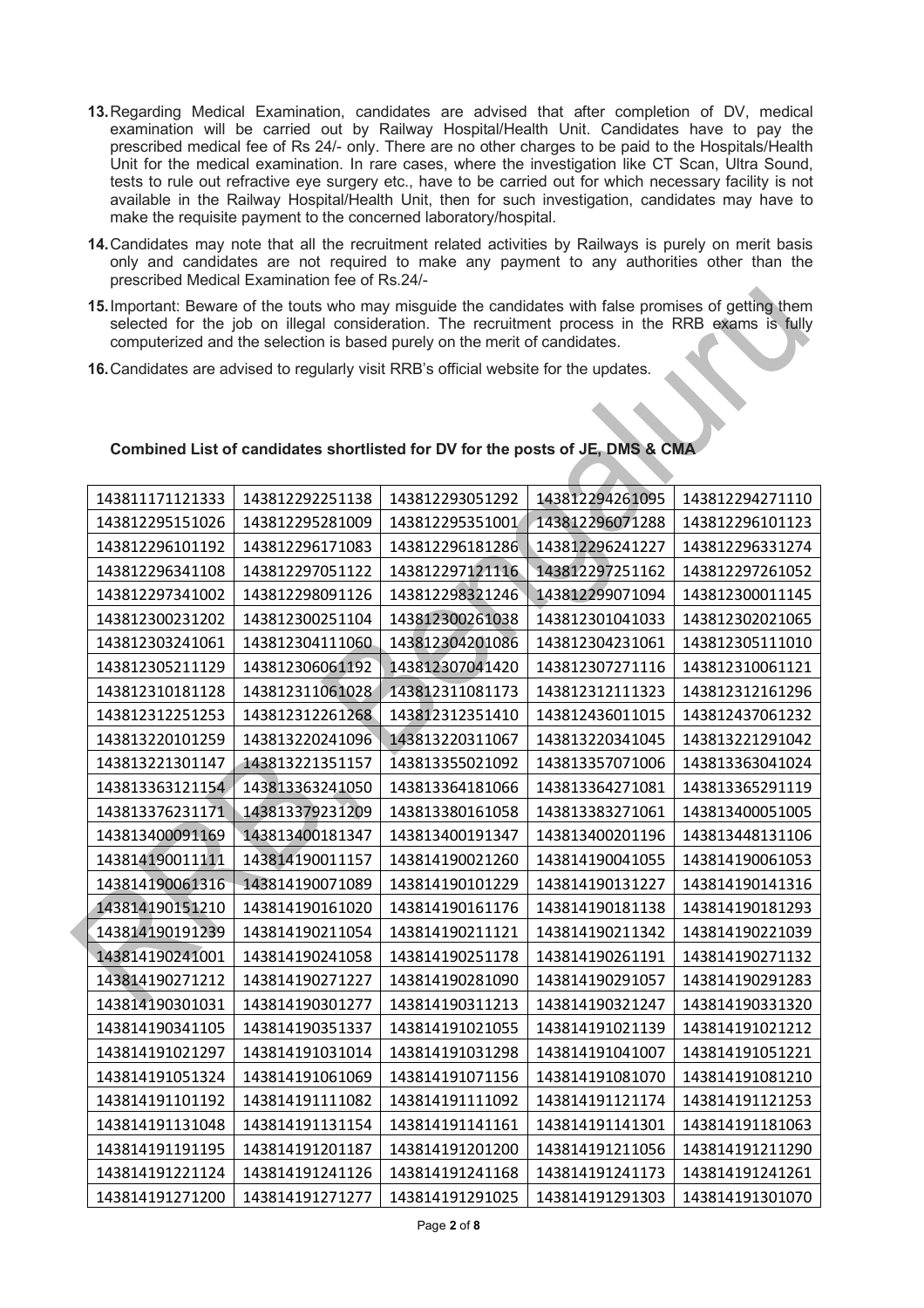- **13.**Regarding Medical Examination, candidates are advised that after completion of DV, medical examination will be carried out by Railway Hospital/Health Unit. Candidates have to pay the prescribed medical fee of Rs 24/- only. There are no other charges to be paid to the Hospitals/Health Unit for the medical examination. In rare cases, where the investigation like CT Scan, Ultra Sound, tests to rule out refractive eye surgery etc., have to be carried out for which necessary facility is not available in the Railway Hospital/Health Unit, then for such investigation, candidates may have to make the requisite payment to the concerned laboratory/hospital.
- **14.**Candidates may note that all the recruitment related activities by Railways is purely on merit basis only and candidates are not required to make any payment to any authorities other than the prescribed Medical Examination fee of Rs.24/-
- **15.**Important: Beware of the touts who may misguide the candidates with false promises of getting them selected for the job on illegal consideration. The recruitment process in the RRB exams is fully computerized and the selection is based purely on the merit of candidates.
- **16.**Candidates are advised to regularly visit RRB's official website for the updates.

| 143811171121333                    | 143812292251138 | 143812293051292 | 143812294261095 | 143812294271110 |
|------------------------------------|-----------------|-----------------|-----------------|-----------------|
| 143812295151026<br>143812295281009 |                 | 143812295351001 | 143812296071288 | 143812296101123 |
| 143812296101192<br>143812296171083 |                 | 143812296181286 | 143812296241227 | 143812296331274 |
| 143812296341108                    | 143812297051122 | 143812297121116 | 143812297251162 | 143812297261052 |
| 143812297341002                    | 143812298091126 | 143812298321246 | 143812299071094 | 143812300011145 |
| 143812300231202                    | 143812300251104 | 143812300261038 | 143812301041033 | 143812302021065 |
| 143812303241061                    | 143812304111060 | 143812304201086 | 143812304231061 | 143812305111010 |
| 143812305211129                    | 143812306061192 | 143812307041420 | 143812307271116 | 143812310061121 |
| 143812310181128                    | 143812311061028 | 143812311081173 | 143812312111323 | 143812312161296 |
| 143812312251253                    | 143812312261268 | 143812312351410 | 143812436011015 | 143812437061232 |
| 143813220101259                    | 143813220241096 | 143813220311067 | 143813220341045 | 143813221291042 |
| 143813221301147                    | 143813221351157 | 143813355021092 | 143813357071006 | 143813363041024 |
| 143813363121154                    | 143813363241050 | 143813364181066 | 143813364271081 | 143813365291119 |
| 143813376231171                    | 143813379231209 | 143813380161058 | 143813383271061 | 143813400051005 |
| 143813400091169                    | 143813400181347 | 143813400191347 | 143813400201196 | 143813448131106 |
| 143814190011111                    | 143814190011157 | 143814190021260 | 143814190041055 | 143814190061053 |
| 143814190061316                    | 143814190071089 | 143814190101229 | 143814190131227 | 143814190141316 |
| 143814190151210                    | 143814190161020 | 143814190161176 | 143814190181138 | 143814190181293 |
| 143814190191239                    | 143814190211054 | 143814190211121 | 143814190211342 | 143814190221039 |
| 143814190241001                    | 143814190241058 | 143814190251178 | 143814190261191 | 143814190271132 |
| 143814190271212                    | 143814190271227 | 143814190281090 | 143814190291057 | 143814190291283 |
| 143814190301031                    | 143814190301277 | 143814190311213 | 143814190321247 | 143814190331320 |
| 143814190341105                    | 143814190351337 | 143814191021055 | 143814191021139 | 143814191021212 |
| 143814191021297                    | 143814191031014 | 143814191031298 | 143814191041007 | 143814191051221 |
| 143814191051324                    | 143814191061069 | 143814191071156 | 143814191081070 | 143814191081210 |
| 143814191101192                    | 143814191111082 | 143814191111092 | 143814191121174 | 143814191121253 |
| 143814191131048                    | 143814191131154 | 143814191141161 | 143814191141301 | 143814191181063 |
| 143814191191195                    | 143814191201187 | 143814191201200 | 143814191211056 | 143814191211290 |
| 143814191221124                    | 143814191241126 | 143814191241168 | 143814191241173 | 143814191241261 |
| 143814191271200                    | 143814191271277 | 143814191291025 | 143814191291303 | 143814191301070 |

#### **Combined List of candidates shortlisted for DV for the posts of JE, DMS & CMA**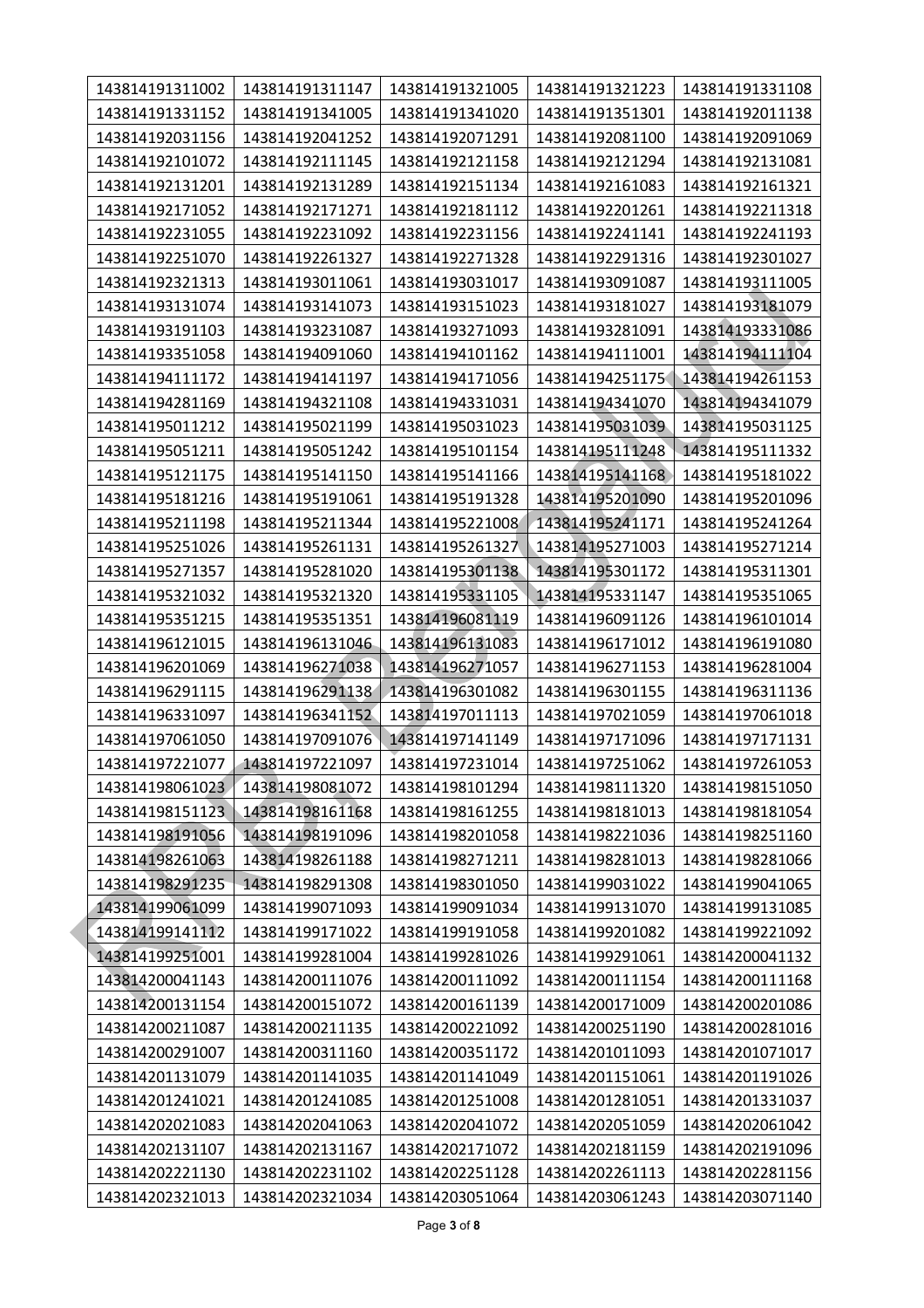| 143814191311002 | 143814191311147 | 143814191321005 | 143814191321223 | 143814191331108 |  |
|-----------------|-----------------|-----------------|-----------------|-----------------|--|
| 143814191331152 | 143814191341005 | 143814191341020 | 143814191351301 | 143814192011138 |  |
| 143814192031156 | 143814192041252 | 143814192071291 | 143814192081100 | 143814192091069 |  |
| 143814192101072 | 143814192111145 | 143814192121158 | 143814192121294 | 143814192131081 |  |
| 143814192131201 | 143814192131289 | 143814192151134 | 143814192161083 | 143814192161321 |  |
| 143814192171052 | 143814192171271 | 143814192181112 | 143814192201261 | 143814192211318 |  |
| 143814192231055 | 143814192231092 | 143814192231156 | 143814192241141 | 143814192241193 |  |
| 143814192251070 | 143814192261327 | 143814192271328 | 143814192291316 | 143814192301027 |  |
| 143814192321313 | 143814193011061 | 143814193031017 | 143814193091087 | 143814193111005 |  |
| 143814193131074 | 143814193141073 | 143814193151023 | 143814193181027 | 143814193181079 |  |
| 143814193191103 | 143814193231087 | 143814193271093 | 143814193281091 | 143814193331086 |  |
| 143814193351058 | 143814194091060 | 143814194101162 | 143814194111001 | 143814194111104 |  |
| 143814194111172 | 143814194141197 | 143814194171056 | 143814194251175 | 143814194261153 |  |
| 143814194281169 | 143814194321108 | 143814194331031 | 143814194341070 | 143814194341079 |  |
| 143814195011212 | 143814195021199 | 143814195031023 | 143814195031039 | 143814195031125 |  |
| 143814195051211 | 143814195051242 | 143814195101154 | 143814195111248 | 143814195111332 |  |
| 143814195121175 | 143814195141150 | 143814195141166 | 143814195141168 | 143814195181022 |  |
| 143814195181216 | 143814195191061 | 143814195191328 | 143814195201090 | 143814195201096 |  |
| 143814195211198 | 143814195211344 | 143814195221008 | 143814195241171 | 143814195241264 |  |
| 143814195251026 | 143814195261131 | 143814195261327 | 143814195271003 | 143814195271214 |  |
| 143814195271357 | 143814195281020 | 143814195301138 | 143814195301172 | 143814195311301 |  |
| 143814195321032 | 143814195321320 | 143814195331105 | 143814195331147 | 143814195351065 |  |
| 143814195351215 | 143814195351351 | 143814196081119 | 143814196091126 | 143814196101014 |  |
| 143814196121015 | 143814196131046 | 143814196131083 | 143814196171012 | 143814196191080 |  |
| 143814196201069 | 143814196271038 | 143814196271057 | 143814196271153 | 143814196281004 |  |
| 143814196291115 | 143814196291138 | 143814196301082 | 143814196301155 | 143814196311136 |  |
| 143814196331097 | 143814196341152 | 143814197011113 | 143814197021059 | 143814197061018 |  |
| 143814197061050 | 143814197091076 | 143814197141149 | 143814197171096 | 143814197171131 |  |
| 143814197221077 | 143814197221097 | 143814197231014 | 143814197251062 | 143814197261053 |  |
| 143814198061023 | 143814198081072 | 143814198101294 | 143814198111320 | 143814198151050 |  |
| 143814198151123 | 143814198161168 | 143814198161255 | 143814198181013 | 143814198181054 |  |
| 143814198191056 | 143814198191096 | 143814198201058 | 143814198221036 | 143814198251160 |  |
| 143814198261063 | 143814198261188 | 143814198271211 | 143814198281013 | 143814198281066 |  |
| 143814198291235 | 143814198291308 | 143814198301050 | 143814199031022 | 143814199041065 |  |
| 143814199061099 | 143814199071093 | 143814199091034 | 143814199131070 | 143814199131085 |  |
| 143814199141112 | 143814199171022 | 143814199191058 | 143814199201082 | 143814199221092 |  |
| 143814199251001 | 143814199281004 | 143814199281026 | 143814199291061 | 143814200041132 |  |
| 143814200041143 | 143814200111076 | 143814200111092 | 143814200111154 | 143814200111168 |  |
| 143814200131154 | 143814200151072 | 143814200161139 | 143814200171009 | 143814200201086 |  |
| 143814200211087 | 143814200211135 | 143814200221092 | 143814200251190 | 143814200281016 |  |
| 143814200291007 | 143814200311160 | 143814200351172 | 143814201011093 | 143814201071017 |  |
| 143814201131079 | 143814201141035 | 143814201141049 | 143814201151061 | 143814201191026 |  |
| 143814201241021 | 143814201241085 | 143814201251008 | 143814201281051 | 143814201331037 |  |
| 143814202021083 | 143814202041063 | 143814202041072 | 143814202051059 | 143814202061042 |  |
| 143814202131107 | 143814202131167 | 143814202171072 | 143814202181159 | 143814202191096 |  |
| 143814202221130 | 143814202231102 | 143814202251128 | 143814202261113 | 143814202281156 |  |
| 143814202321013 | 143814202321034 | 143814203051064 | 143814203061243 | 143814203071140 |  |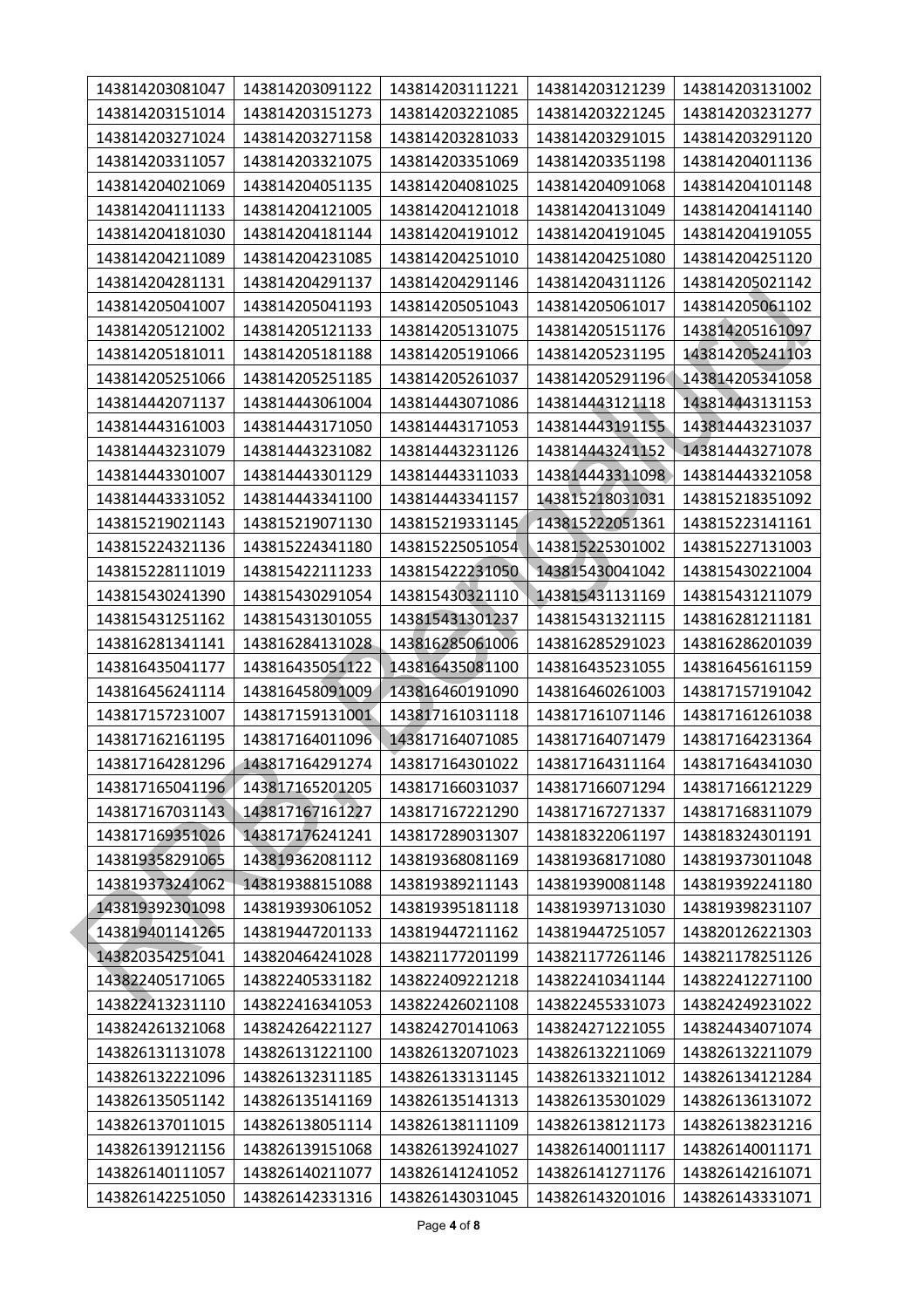| 143814203081047 | 143814203091122 | 143814203111221 | 143814203121239 | 143814203131002 |
|-----------------|-----------------|-----------------|-----------------|-----------------|
| 143814203151014 | 143814203151273 | 143814203221085 | 143814203221245 | 143814203231277 |
| 143814203271024 | 143814203271158 | 143814203281033 | 143814203291015 | 143814203291120 |
| 143814203311057 | 143814203321075 | 143814203351069 | 143814203351198 | 143814204011136 |
| 143814204021069 | 143814204051135 | 143814204081025 | 143814204091068 | 143814204101148 |
| 143814204111133 | 143814204121005 | 143814204121018 | 143814204131049 | 143814204141140 |
| 143814204181030 | 143814204181144 | 143814204191012 | 143814204191045 | 143814204191055 |
| 143814204211089 | 143814204231085 | 143814204251010 | 143814204251080 | 143814204251120 |
| 143814204281131 | 143814204291137 | 143814204291146 | 143814204311126 | 143814205021142 |
| 143814205041007 | 143814205041193 | 143814205051043 | 143814205061017 | 143814205061102 |
| 143814205121002 | 143814205121133 | 143814205131075 | 143814205151176 | 143814205161097 |
| 143814205181011 | 143814205181188 | 143814205191066 | 143814205231195 | 143814205241103 |
| 143814205251066 | 143814205251185 | 143814205261037 | 143814205291196 | 143814205341058 |
| 143814442071137 | 143814443061004 | 143814443071086 | 143814443121118 | 143814443131153 |
| 143814443161003 | 143814443171050 | 143814443171053 | 143814443191155 | 143814443231037 |
| 143814443231079 | 143814443231082 | 143814443231126 | 143814443241152 | 143814443271078 |
| 143814443301007 | 143814443301129 | 143814443311033 | 143814443311098 | 143814443321058 |
| 143814443331052 | 143814443341100 | 143814443341157 | 143815218031031 | 143815218351092 |
| 143815219021143 | 143815219071130 | 143815219331145 | 143815222051361 | 143815223141161 |
| 143815224321136 | 143815224341180 | 143815225051054 | 143815225301002 | 143815227131003 |
| 143815228111019 | 143815422111233 | 143815422231050 | 143815430041042 | 143815430221004 |
| 143815430241390 | 143815430291054 | 143815430321110 | 143815431131169 | 143815431211079 |
| 143815431251162 | 143815431301055 | 143815431301237 | 143815431321115 | 143816281211181 |
| 143816281341141 | 143816284131028 | 143816285061006 | 143816285291023 | 143816286201039 |
| 143816435041177 | 143816435051122 | 143816435081100 | 143816435231055 | 143816456161159 |
| 143816456241114 | 143816458091009 | 143816460191090 | 143816460261003 | 143817157191042 |
| 143817157231007 | 143817159131001 | 143817161031118 | 143817161071146 | 143817161261038 |
| 143817162161195 | 143817164011096 | 143817164071085 | 143817164071479 | 143817164231364 |
| 143817164281296 | 143817164291274 | 143817164301022 | 143817164311164 | 143817164341030 |
| 143817165041196 | 143817165201205 | 143817166031037 | 143817166071294 | 143817166121229 |
| 143817167031143 | 143817167161227 | 143817167221290 | 143817167271337 | 143817168311079 |
| 143817169351026 | 143817176241241 | 143817289031307 | 143818322061197 | 143818324301191 |
| 143819358291065 | 143819362081112 | 143819368081169 | 143819368171080 | 143819373011048 |
| 143819373241062 | 143819388151088 | 143819389211143 | 143819390081148 | 143819392241180 |
| 143819392301098 | 143819393061052 | 143819395181118 | 143819397131030 | 143819398231107 |
| 143819401141265 | 143819447201133 | 143819447211162 | 143819447251057 | 143820126221303 |
| 143820354251041 | 143820464241028 | 143821177201199 | 143821177261146 | 143821178251126 |
| 143822405171065 | 143822405331182 | 143822409221218 | 143822410341144 | 143822412271100 |
| 143822413231110 | 143822416341053 | 143822426021108 | 143822455331073 | 143824249231022 |
| 143824261321068 | 143824264221127 | 143824270141063 | 143824271221055 | 143824434071074 |
| 143826131131078 | 143826131221100 | 143826132071023 | 143826132211069 | 143826132211079 |
| 143826132221096 | 143826132311185 | 143826133131145 | 143826133211012 | 143826134121284 |
| 143826135051142 | 143826135141169 | 143826135141313 | 143826135301029 | 143826136131072 |
| 143826137011015 | 143826138051114 | 143826138111109 | 143826138121173 | 143826138231216 |
| 143826139121156 | 143826139151068 | 143826139241027 | 143826140011117 | 143826140011171 |
| 143826140111057 | 143826140211077 | 143826141241052 | 143826141271176 | 143826142161071 |
| 143826142251050 | 143826142331316 | 143826143031045 | 143826143201016 | 143826143331071 |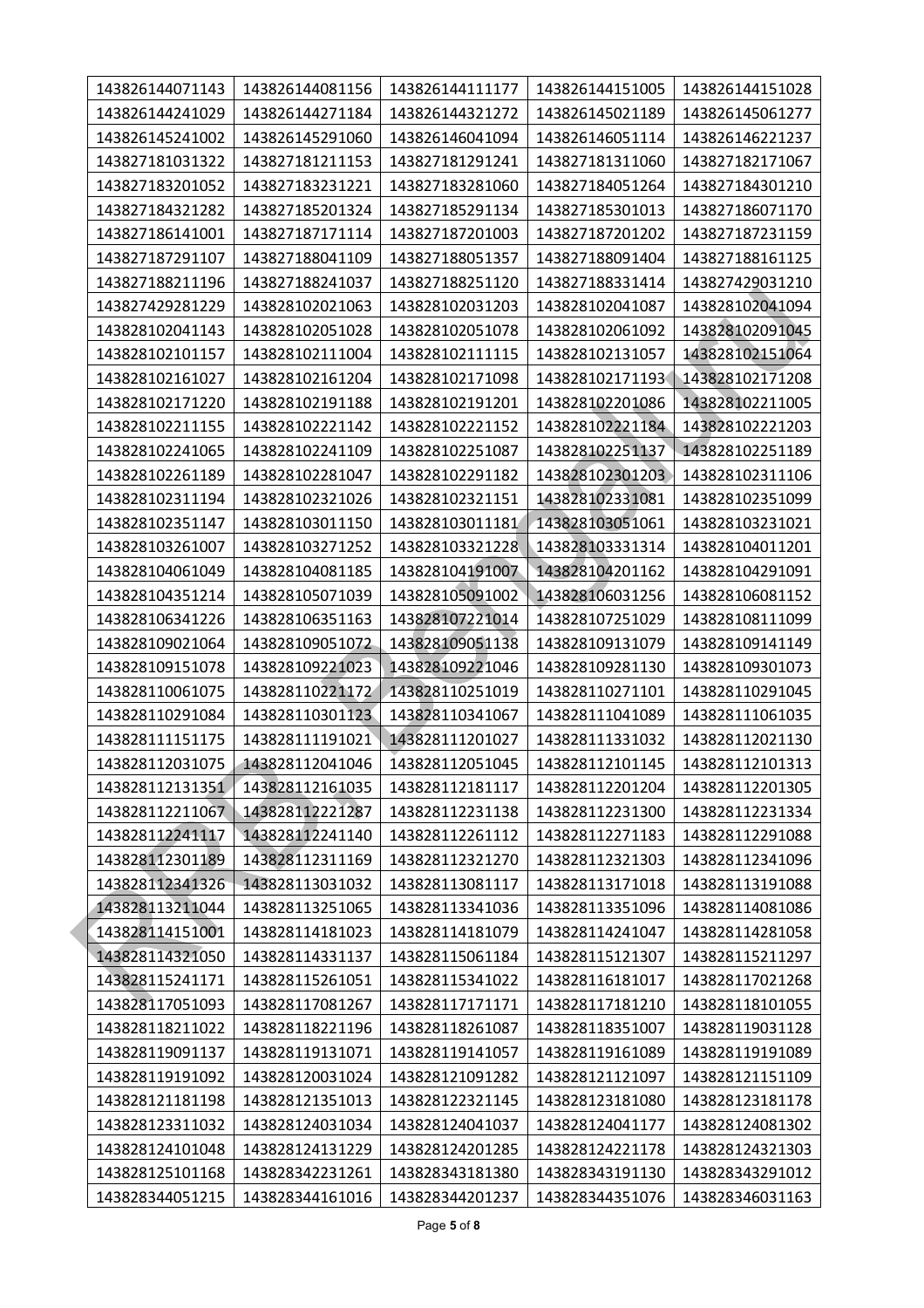| 143826144071143 | 143826144081156 | 143826144111177 | 143826144151005 | 143826144151028 |
|-----------------|-----------------|-----------------|-----------------|-----------------|
| 143826144241029 | 143826144271184 | 143826144321272 | 143826145021189 | 143826145061277 |
| 143826145241002 | 143826145291060 | 143826146041094 | 143826146051114 | 143826146221237 |
| 143827181031322 | 143827181211153 | 143827181291241 | 143827181311060 | 143827182171067 |
| 143827183201052 | 143827183231221 | 143827183281060 | 143827184051264 | 143827184301210 |
| 143827184321282 | 143827185201324 | 143827185291134 | 143827185301013 | 143827186071170 |
| 143827186141001 | 143827187171114 | 143827187201003 | 143827187201202 | 143827187231159 |
| 143827187291107 | 143827188041109 | 143827188051357 | 143827188091404 | 143827188161125 |
| 143827188211196 | 143827188241037 | 143827188251120 | 143827188331414 | 143827429031210 |
| 143827429281229 | 143828102021063 | 143828102031203 | 143828102041087 | 143828102041094 |
| 143828102041143 | 143828102051028 | 143828102051078 | 143828102061092 | 143828102091045 |
| 143828102101157 | 143828102111004 | 143828102111115 | 143828102131057 | 143828102151064 |
| 143828102161027 | 143828102161204 | 143828102171098 | 143828102171193 | 143828102171208 |
| 143828102171220 | 143828102191188 | 143828102191201 | 143828102201086 | 143828102211005 |
| 143828102211155 | 143828102221142 | 143828102221152 | 143828102221184 | 143828102221203 |
| 143828102241065 | 143828102241109 | 143828102251087 | 143828102251137 | 143828102251189 |
| 143828102261189 | 143828102281047 | 143828102291182 | 143828102301203 | 143828102311106 |
| 143828102311194 | 143828102321026 | 143828102321151 | 143828102331081 | 143828102351099 |
| 143828102351147 | 143828103011150 | 143828103011181 | 143828103051061 | 143828103231021 |
| 143828103261007 | 143828103271252 | 143828103321228 | 143828103331314 | 143828104011201 |
| 143828104061049 | 143828104081185 | 143828104191007 | 143828104201162 | 143828104291091 |
| 143828104351214 | 143828105071039 | 143828105091002 | 143828106031256 | 143828106081152 |
| 143828106341226 | 143828106351163 | 143828107221014 | 143828107251029 | 143828108111099 |
| 143828109021064 | 143828109051072 | 143828109051138 | 143828109131079 | 143828109141149 |
| 143828109151078 | 143828109221023 | 143828109221046 | 143828109281130 | 143828109301073 |
| 143828110061075 | 143828110221172 | 143828110251019 | 143828110271101 | 143828110291045 |
| 143828110291084 | 143828110301123 | 143828110341067 | 143828111041089 | 143828111061035 |
| 143828111151175 | 143828111191021 | 143828111201027 | 143828111331032 | 143828112021130 |
| 143828112031075 | 143828112041046 | 143828112051045 | 143828112101145 | 143828112101313 |
| 143828112131351 | 143828112161035 | 143828112181117 | 143828112201204 | 143828112201305 |
| 143828112211067 | 143828112221287 | 143828112231138 | 143828112231300 | 143828112231334 |
| 143828112241117 | 143828112241140 | 143828112261112 | 143828112271183 | 143828112291088 |
| 143828112301189 | 143828112311169 | 143828112321270 | 143828112321303 | 143828112341096 |
| 143828112341326 | 143828113031032 | 143828113081117 | 143828113171018 | 143828113191088 |
| 143828113211044 | 143828113251065 | 143828113341036 | 143828113351096 | 143828114081086 |
| 143828114151001 | 143828114181023 | 143828114181079 | 143828114241047 | 143828114281058 |
| 143828114321050 | 143828114331137 | 143828115061184 | 143828115121307 | 143828115211297 |
| 143828115241171 | 143828115261051 | 143828115341022 | 143828116181017 | 143828117021268 |
| 143828117051093 | 143828117081267 | 143828117171171 | 143828117181210 | 143828118101055 |
| 143828118211022 | 143828118221196 | 143828118261087 | 143828118351007 | 143828119031128 |
| 143828119091137 | 143828119131071 | 143828119141057 | 143828119161089 | 143828119191089 |
| 143828119191092 | 143828120031024 | 143828121091282 | 143828121121097 | 143828121151109 |
| 143828121181198 | 143828121351013 | 143828122321145 | 143828123181080 | 143828123181178 |
| 143828123311032 | 143828124031034 | 143828124041037 | 143828124041177 | 143828124081302 |
| 143828124101048 | 143828124131229 | 143828124201285 | 143828124221178 | 143828124321303 |
| 143828125101168 | 143828342231261 | 143828343181380 | 143828343191130 | 143828343291012 |
| 143828344051215 | 143828344161016 | 143828344201237 | 143828344351076 | 143828346031163 |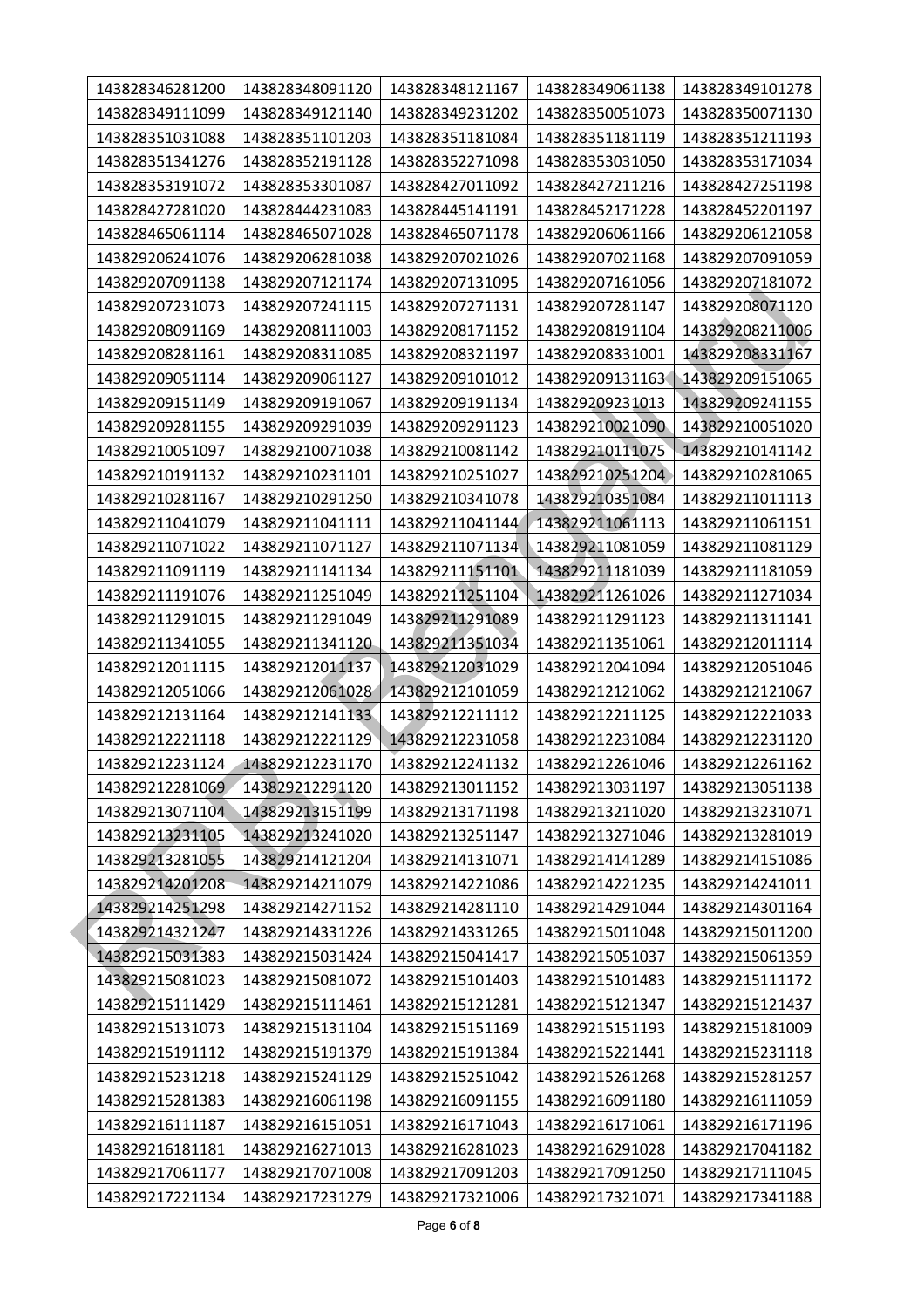| 143828346281200 | 143828348091120 | 143828348121167 | 143828349061138 | 143828349101278 |
|-----------------|-----------------|-----------------|-----------------|-----------------|
| 143828349111099 | 143828349121140 | 143828349231202 | 143828350051073 | 143828350071130 |
| 143828351031088 | 143828351101203 | 143828351181084 | 143828351181119 | 143828351211193 |
| 143828351341276 | 143828352191128 | 143828352271098 | 143828353031050 | 143828353171034 |
| 143828353191072 | 143828353301087 | 143828427011092 | 143828427211216 | 143828427251198 |
| 143828427281020 | 143828444231083 | 143828445141191 | 143828452171228 | 143828452201197 |
| 143828465061114 | 143828465071028 | 143828465071178 | 143829206061166 | 143829206121058 |
| 143829206241076 | 143829206281038 | 143829207021026 | 143829207021168 | 143829207091059 |
| 143829207091138 | 143829207121174 | 143829207131095 | 143829207161056 | 143829207181072 |
| 143829207231073 | 143829207241115 | 143829207271131 | 143829207281147 | 143829208071120 |
| 143829208091169 | 143829208111003 | 143829208171152 | 143829208191104 | 143829208211006 |
| 143829208281161 | 143829208311085 | 143829208321197 | 143829208331001 | 143829208331167 |
| 143829209051114 | 143829209061127 | 143829209101012 | 143829209131163 | 143829209151065 |
| 143829209151149 | 143829209191067 | 143829209191134 | 143829209231013 | 143829209241155 |
| 143829209281155 | 143829209291039 | 143829209291123 | 143829210021090 | 143829210051020 |
| 143829210051097 | 143829210071038 | 143829210081142 | 143829210111075 | 143829210141142 |
| 143829210191132 | 143829210231101 | 143829210251027 | 143829210251204 | 143829210281065 |
| 143829210281167 | 143829210291250 | 143829210341078 | 143829210351084 | 143829211011113 |
| 143829211041079 | 143829211041111 | 143829211041144 | 143829211061113 | 143829211061151 |
| 143829211071022 | 143829211071127 | 143829211071134 | 143829211081059 | 143829211081129 |
| 143829211091119 | 143829211141134 | 143829211151101 | 143829211181039 | 143829211181059 |
| 143829211191076 | 143829211251049 | 143829211251104 | 143829211261026 | 143829211271034 |
| 143829211291015 | 143829211291049 | 143829211291089 | 143829211291123 | 143829211311141 |
| 143829211341055 | 143829211341120 | 143829211351034 | 143829211351061 | 143829212011114 |
| 143829212011115 | 143829212011137 | 143829212031029 | 143829212041094 | 143829212051046 |
| 143829212051066 | 143829212061028 | 143829212101059 | 143829212121062 | 143829212121067 |
| 143829212131164 | 143829212141133 | 143829212211112 | 143829212211125 | 143829212221033 |
| 143829212221118 | 143829212221129 | 143829212231058 | 143829212231084 | 143829212231120 |
| 143829212231124 | 143829212231170 | 143829212241132 | 143829212261046 | 143829212261162 |
| 143829212281069 | 143829212291120 | 143829213011152 | 143829213031197 | 143829213051138 |
| 143829213071104 | 143829213151199 | 143829213171198 | 143829213211020 | 143829213231071 |
| 143829213231105 | 143829213241020 | 143829213251147 | 143829213271046 | 143829213281019 |
| 143829213281055 | 143829214121204 | 143829214131071 | 143829214141289 | 143829214151086 |
| 143829214201208 | 143829214211079 | 143829214221086 | 143829214221235 | 143829214241011 |
| 143829214251298 | 143829214271152 | 143829214281110 | 143829214291044 | 143829214301164 |
| 143829214321247 | 143829214331226 | 143829214331265 | 143829215011048 | 143829215011200 |
| 143829215031383 | 143829215031424 | 143829215041417 | 143829215051037 | 143829215061359 |
| 143829215081023 | 143829215081072 | 143829215101403 | 143829215101483 | 143829215111172 |
| 143829215111429 | 143829215111461 | 143829215121281 | 143829215121347 | 143829215121437 |
| 143829215131073 | 143829215131104 | 143829215151169 | 143829215151193 | 143829215181009 |
| 143829215191112 | 143829215191379 | 143829215191384 | 143829215221441 | 143829215231118 |
| 143829215231218 | 143829215241129 | 143829215251042 | 143829215261268 | 143829215281257 |
| 143829215281383 | 143829216061198 | 143829216091155 | 143829216091180 | 143829216111059 |
| 143829216111187 | 143829216151051 | 143829216171043 | 143829216171061 | 143829216171196 |
| 143829216181181 | 143829216271013 | 143829216281023 | 143829216291028 | 143829217041182 |
| 143829217061177 | 143829217071008 | 143829217091203 | 143829217091250 | 143829217111045 |
| 143829217221134 | 143829217231279 | 143829217321006 | 143829217321071 | 143829217341188 |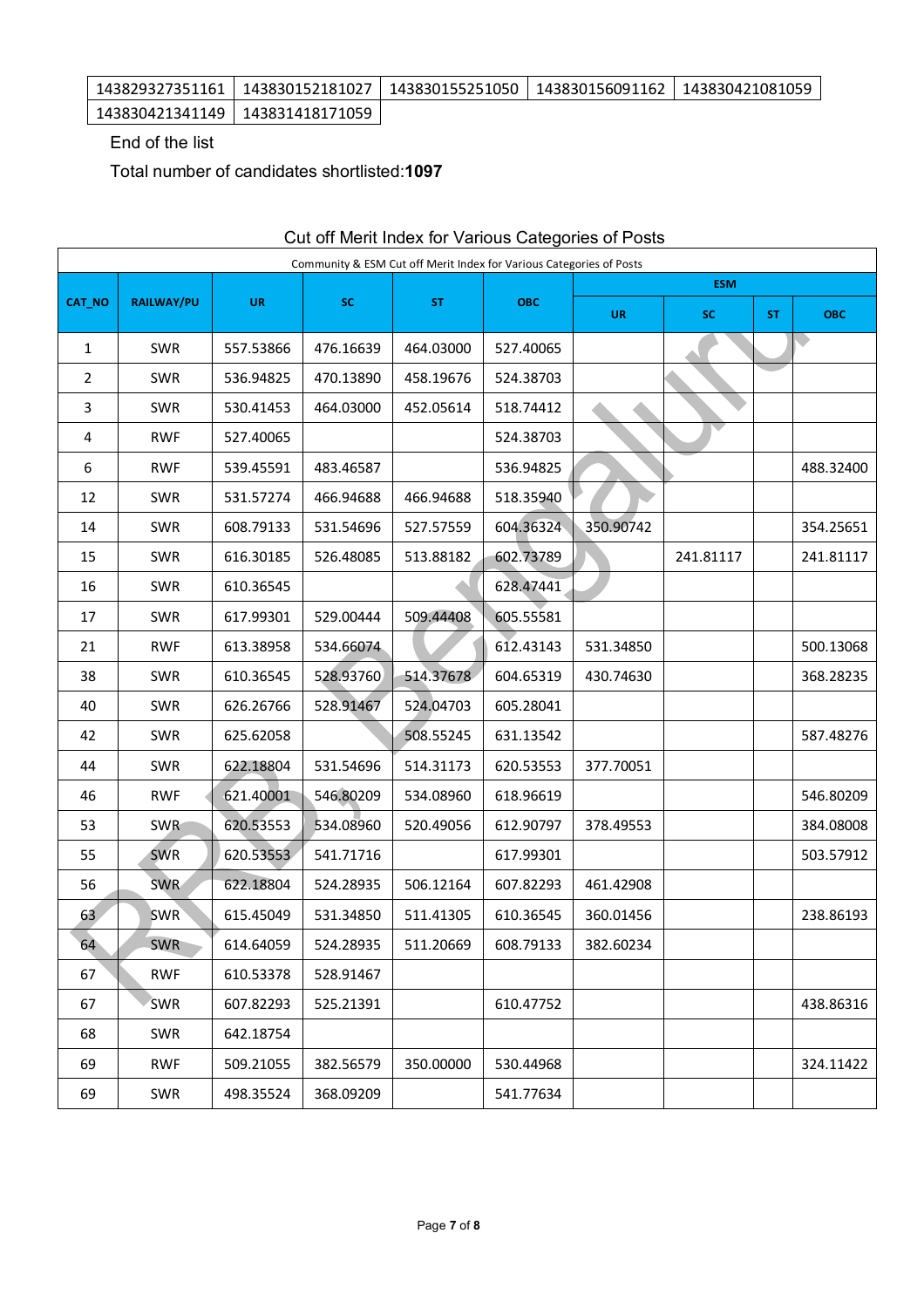| 143829327351161   143830152181027   143830155251050   143830156091162   143830421081059 |  |  |
|-----------------------------------------------------------------------------------------|--|--|
| 143830421341149   143831418171059                                                       |  |  |

End of the list

Total number of candidates shortlisted:**1097**

|        | sat on mont mack for various categories or ricots<br>Community & ESM Cut off Merit Index for Various Categories of Posts |           |           |           |            |           |            |           |            |
|--------|--------------------------------------------------------------------------------------------------------------------------|-----------|-----------|-----------|------------|-----------|------------|-----------|------------|
|        |                                                                                                                          |           |           |           |            |           | <b>ESM</b> |           |            |
| CAT_NO | <b>RAILWAY/PU</b>                                                                                                        | <b>UR</b> | SC        | <b>ST</b> | <b>OBC</b> | <b>UR</b> | <b>SC</b>  | <b>ST</b> | <b>OBC</b> |
| 1      | SWR                                                                                                                      | 557.53866 | 476.16639 | 464.03000 | 527.40065  |           |            |           | $\bullet$  |
| 2      | SWR                                                                                                                      | 536.94825 | 470.13890 | 458.19676 | 524.38703  |           |            |           |            |
| 3      | SWR                                                                                                                      | 530.41453 | 464.03000 | 452.05614 | 518.74412  |           |            |           |            |
| 4      | <b>RWF</b>                                                                                                               | 527.40065 |           |           | 524.38703  |           |            |           |            |
| 6      | <b>RWF</b>                                                                                                               | 539.45591 | 483.46587 |           | 536.94825  |           |            |           | 488.32400  |
| 12     | SWR                                                                                                                      | 531.57274 | 466.94688 | 466.94688 | 518.35940  |           |            |           |            |
| 14     | SWR                                                                                                                      | 608.79133 | 531.54696 | 527.57559 | 604.36324  | 350.90742 |            |           | 354.25651  |
| 15     | SWR                                                                                                                      | 616.30185 | 526.48085 | 513.88182 | 602.73789  |           | 241.81117  |           | 241.81117  |
| 16     | SWR                                                                                                                      | 610.36545 |           |           | 628.47441  |           |            |           |            |
| 17     | SWR                                                                                                                      | 617.99301 | 529.00444 | 509.44408 | 605.55581  |           |            |           |            |
| 21     | <b>RWF</b>                                                                                                               | 613.38958 | 534.66074 |           | 612.43143  | 531.34850 |            |           | 500.13068  |
| 38     | SWR                                                                                                                      | 610.36545 | 528.93760 | 514.37678 | 604.65319  | 430.74630 |            |           | 368.28235  |
| 40     | SWR                                                                                                                      | 626.26766 | 528.91467 | 524.04703 | 605.28041  |           |            |           |            |
| 42     | SWR                                                                                                                      | 625.62058 |           | 508.55245 | 631.13542  |           |            |           | 587.48276  |
| 44     | SWR                                                                                                                      | 622.18804 | 531.54696 | 514.31173 | 620.53553  | 377.70051 |            |           |            |
| 46     | <b>RWF</b>                                                                                                               | 621.40001 | 546.80209 | 534.08960 | 618.96619  |           |            |           | 546.80209  |
| 53     | <b>SWR</b>                                                                                                               | 620.53553 | 534.08960 | 520.49056 | 612.90797  | 378.49553 |            |           | 384.08008  |
| 55     | <b>SWR</b>                                                                                                               | 620.53553 | 541.71716 |           | 617.99301  |           |            |           | 503.57912  |
| 56     | <b>SWR</b>                                                                                                               | 622.18804 | 524.28935 | 506.12164 | 607.82293  | 461.42908 |            |           |            |
| 63     | <b>SWR</b>                                                                                                               | 615.45049 | 531.34850 | 511.41305 | 610.36545  | 360.01456 |            |           | 238.86193  |
| 64     | <b>SWR</b>                                                                                                               | 614.64059 | 524.28935 | 511.20669 | 608.79133  | 382.60234 |            |           |            |
| 67     | <b>RWF</b>                                                                                                               | 610.53378 | 528.91467 |           |            |           |            |           |            |
| 67     | <b>SWR</b>                                                                                                               | 607.82293 | 525.21391 |           | 610.47752  |           |            |           | 438.86316  |
| 68     | SWR                                                                                                                      | 642.18754 |           |           |            |           |            |           |            |
| 69     | <b>RWF</b>                                                                                                               | 509.21055 | 382.56579 | 350.00000 | 530.44968  |           |            |           | 324.11422  |
| 69     | SWR                                                                                                                      | 498.35524 | 368.09209 |           | 541.77634  |           |            |           |            |

## Cut off Merit Index for Various Categories of Posts